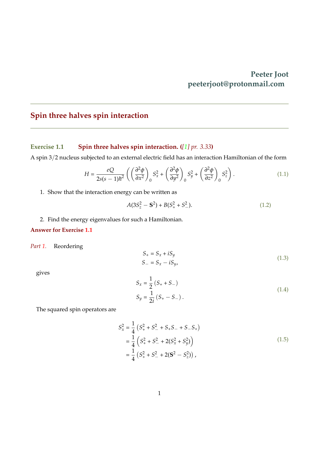## **Peeter Joot peeterjoot@protonmail.com**

## **Spin three halves spin interaction**

### <span id="page-0-0"></span>**Exercise 1.1 Spin three halves spin interaction. (***[\[1\]](#page-3-0) pr. 3.33***)**

A spin 3/2 nucleus subjected to an external electric field has an interaction Hamiltonian of the form

$$
H = \frac{eQ}{2s(s-1)\hbar^2} \left( \left( \frac{\partial^2 \phi}{\partial x^2} \right)_0 S_x^2 + \left( \frac{\partial^2 \phi}{\partial y^2} \right)_0 S_y^2 + \left( \frac{\partial^2 \phi}{\partial z^2} \right)_0 S_z^2 \right). \tag{1.1}
$$

<span id="page-0-1"></span>1. Show that the interaction energy can be written as

$$
A(3S_z^2 - \mathbf{S}^2) + B(S_+^2 + S_-^2). \tag{1.2}
$$

<span id="page-0-2"></span>2. Find the energy eigenvalues for such a Hamiltonian.

#### **Answer for Exercise [1.1](#page-0-0)**

*Part [1.](#page-0-1)* Reordering

$$
S_+ = S_x + iS_y
$$
  
\n
$$
S_- = S_x - iS_y,
$$
\n(1.3)

gives

$$
S_x = \frac{1}{2} (S_+ + S_-)
$$
  
\n
$$
S_y = \frac{1}{2i} (S_+ - S_-).
$$
\n(1.4)

The squared spin operators are

$$
S_x^2 = \frac{1}{4} \left( S_+^2 + S_-^2 + S_+ S_- + S_- S_+ \right)
$$
  
=  $\frac{1}{4} \left( S_+^2 + S_-^2 + 2(S_x^2 + S_y^2) \right)$   
=  $\frac{1}{4} \left( S_+^2 + S_-^2 + 2(S^2 - S_z^2) \right),$  (1.5)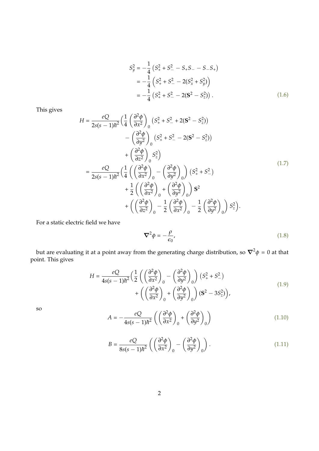$$
S_y^2 = -\frac{1}{4} \left( S_+^2 + S_-^2 - S_+ S_- - S_- S_+ \right)
$$
  
=  $-\frac{1}{4} \left( S_+^2 + S_-^2 - 2(S_x^2 + S_y^2) \right)$   
=  $-\frac{1}{4} \left( S_+^2 + S_-^2 - 2(S^2 - S_z^2) \right).$  (1.6)

This gives

$$
H = \frac{eQ}{2s(s-1)\hbar^2} \left(\frac{1}{4} \left(\frac{\partial^2 \phi}{\partial x^2}\right)_0 (S_+^2 + S_-^2 + 2(S^2 - S_z^2)) - \left(\frac{\partial^2 \phi}{\partial y^2}\right)_0 (S_+^2 + S_-^2 - 2(S^2 - S_z^2)) + \left(\frac{\partial^2 \phi}{\partial z^2}\right)_0 S_z^2\right)
$$
  

$$
= \frac{eQ}{2s(s-1)\hbar^2} \left(\frac{1}{4} \left(\left(\frac{\partial^2 \phi}{\partial x^2}\right)_0 - \left(\frac{\partial^2 \phi}{\partial y^2}\right)_0\right) (S_+^2 + S_-^2) + \frac{1}{2} \left(\left(\frac{\partial^2 \phi}{\partial x^2}\right)_0 + \left(\frac{\partial^2 \phi}{\partial y^2}\right)_0\right) S^2 + \left(\left(\frac{\partial^2 \phi}{\partial z^2}\right)_0 - \frac{1}{2} \left(\frac{\partial^2 \phi}{\partial x^2}\right)_0 - \frac{1}{2} \left(\frac{\partial^2 \phi}{\partial y^2}\right)_0\right) S_z^2\right).
$$
 (1.7)

For a static electric field we have

$$
\nabla^2 \phi = -\frac{\rho}{\epsilon_0},\tag{1.8}
$$

but are evaluating it at a point away from the generating charge distribution, so  $\nabla^2 \phi = 0$  at that point. This gives

$$
H = \frac{eQ}{4s(s-1)\hbar^2} \left(\frac{1}{2} \left( \left(\frac{\partial^2 \phi}{\partial x^2}\right)_0 - \left(\frac{\partial^2 \phi}{\partial y^2}\right)_0 \right) \left(S_+^2 + S_-^2\right) + \left( \left(\frac{\partial^2 \phi}{\partial x^2}\right)_0 + \left(\frac{\partial^2 \phi}{\partial y^2}\right)_0 \right) \left(S_-^2 - 3S_z^2\right) \right),\tag{1.9}
$$

so

$$
A = -\frac{eQ}{4s(s-1)\hbar^2} \left( \left( \frac{\partial^2 \phi}{\partial x^2} \right)_0 + \left( \frac{\partial^2 \phi}{\partial y^2} \right)_0 \right) \tag{1.10}
$$

$$
B = \frac{eQ}{8s(s-1)\hbar^2} \left( \left( \frac{\partial^2 \phi}{\partial x^2} \right)_0 - \left( \frac{\partial^2 \phi}{\partial y^2} \right)_0 \right). \tag{1.11}
$$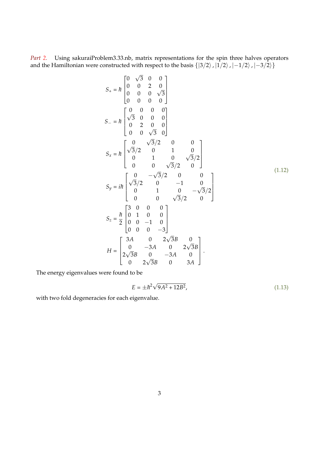*Part [2.](#page-0-2)* Using sakuraiProblem3.33.nb, matrix representations for the spin three halves operators and the Hamiltonian were constructed with respect to the basis  $\{|3/2\rangle, |1/2\rangle, |-1/2\rangle, |-3/2\rangle\}$ 

$$
S_{+} = \hbar \begin{bmatrix} 0 & \sqrt{3} & 0 & 0 \\ 0 & 0 & 2 & 0 \\ 0 & 0 & 0 & \sqrt{3} \\ 0 & 0 & 0 & 0 \end{bmatrix}
$$
  
\n
$$
S_{-} = \hbar \begin{bmatrix} 0 & 0 & 0 & 0 \\ \sqrt{3} & 0 & 0 & 0 \\ 0 & 2 & 0 & 0 \\ 0 & 0 & \sqrt{3} & 0 \end{bmatrix}
$$
  
\n
$$
S_{x} = \hbar \begin{bmatrix} 0 & \sqrt{3}/2 & 0 & 0 \\ \sqrt{3}/2 & 0 & 1 & 0 \\ 0 & 1 & 0 & \sqrt{3}/2 \\ 0 & 0 & \sqrt{3}/2 & 0 \end{bmatrix}
$$
  
\n
$$
S_{y} = i\hbar \begin{bmatrix} 0 & -\sqrt{3}/2 & 0 & 0 \\ \sqrt{3}/2 & 0 & -1 & 0 \\ 0 & 1 & 0 & -\sqrt{3}/2 \\ 0 & 0 & \sqrt{3}/2 & 0 \end{bmatrix}
$$
  
\n
$$
S_{z} = \frac{\hbar}{2} \begin{bmatrix} 3 & 0 & 0 & 0 \\ 0 & 1 & 0 & 0 \\ 0 & 0 & -1 & 0 \\ 0 & 0 & 0 & -3 \end{bmatrix}
$$
  
\n
$$
H = \begin{bmatrix} 3A & 0 & 2\sqrt{3}B & 0 \\ 0 & -3A & 0 & 2\sqrt{3}B \\ 2\sqrt{3}B & 0 & -3A & 0 \\ 0 & 2\sqrt{3}B & 0 & 3A \end{bmatrix}.
$$
 (1.12)

The energy eigenvalues were found to be

$$
E = \pm \hbar^2 \sqrt{9A^2 + 12B^2},\tag{1.13}
$$

with two fold degeneracies for each eigenvalue.